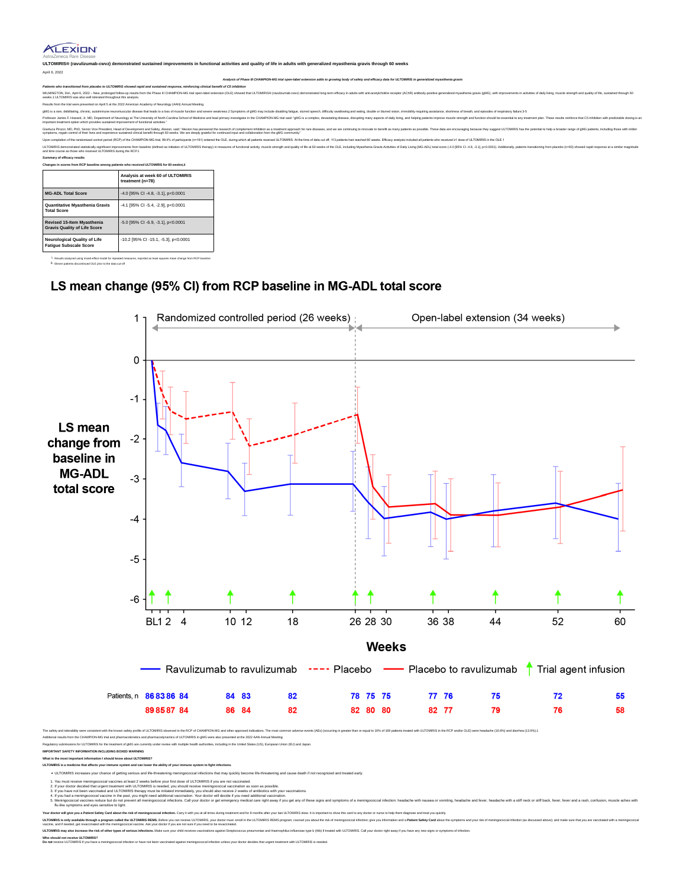

**ULTOMIRIS® (ravulizumab-cwvz) demonstrated sustained improvements in functional activities and quality of life in adults with generalized myasthenia gravis through 60 weeks**

April 6, 2022

**Analysis of Phase III CHAMPION-MG trial open-label extension adds to growing body of safety and efficacy data for ULTOMIRIS in generalized myasthenia gravis**

**Patients who transitioned from placebo to ULTOMIRIS showed rapid and sustained response, reinforcing clinical benefit of C5 inhibition** WIMAGION and the proton of the mail of the Plane III CHAPONAG tai open beleatersin (OLE) showed the ULTOMRIS (avulturable for and although mail effects in and enduce in the computer of the stand mass in the computer of the

on April 5 at the 2022 A

gMG is a rare, debilitating, chronic, autoimmune neuromuscular disease that leads to a loss of muscle function and severe weakness 2 Symptoms of gMG may include disabling fatigue, slurred speech, difficulty swallowing and

Professor James F. Howard, Jr, MD, Department of Neurology at The University of North Carolina School of Medicine and lead primary investigator in the CHAMPION-MG trial said: "gMG is a complex, devastating disease, disrupt important treatment option which provides sustained improvement of functional activities." Gianluca Pirozzi, MD, PhD, Senior Vice President, Head of Development and Safety, Alexion, said: "Alexion, said: "Alexion has pieneered the research of complement inhibition as a treatment approach for rare diseases, and w

symptoms, regain control of their lives and experience sustained clinical benefit through 60 weeks. We are deeply grateful for continued input and collaboration from the gMG community."

Upon completion of the randomized control period (RCP) of the CHAMPION-MG trial, 99.4% of participants (n=161) entered the OLE, during which all patients received ULTOMRIS. At the time of data cut off, 113 patients had rea ULTOMIRIS demonstrated statistically significant improvements from baseline (defined as initiation of ULTOMIRIS therapy) in measures of functional activity, muscle strength and quality of life at 60 weeks of the OLE, inclu and time course as those who received ULTOMIRIS during the RCP.1

| Summary of efficacy results |  |
|-----------------------------|--|
|                             |  |

| Changes in scores from RCP baseline among patients who received ULTOMIRIS for 60 weeksi.ii |                                                      |  |
|--------------------------------------------------------------------------------------------|------------------------------------------------------|--|
|                                                                                            | Analysis at week 60 of ULTOMIRIS<br>treatment (n=78) |  |
| <b>MG-ADL Total Score</b>                                                                  | -4.0 [95% CI -4.8. -3.1], p<0.0001                   |  |
| Quantitative Mvasthenia Gravis<br><b>Total Score</b>                                       | -4.1 [95% CI -5.4. -2.9], p<0.0001                   |  |
| <b>Revised 15-Item Myasthenia</b><br><b>Gravis Quality of Life Score</b>                   | -5.0 [95% CI -6.9. -3.1], p<0.0001                   |  |
| <b>Neurological Quality of Life</b><br><b>Fatique Subscale Score</b>                       | -10.2 [95% CI-15.1, -5.3], p<0.0001                  |  |

i. Results analyzed using mixed-effect model for repeated measures, reported as least squares mean change from RCP baseline II. Eleven patients discontinued OLE prior to the data cut-off

# LS mean change (95% CI) from RCP baseline in MG-ADL total score



Who should not receive ULTOMIRIS?<br>Do not receive ULTOMIRIS if you have a meningococal infection or have not been vaccinated against meningococal infection unless your doctor decides that urgent treatment with ULTOMIRIS is